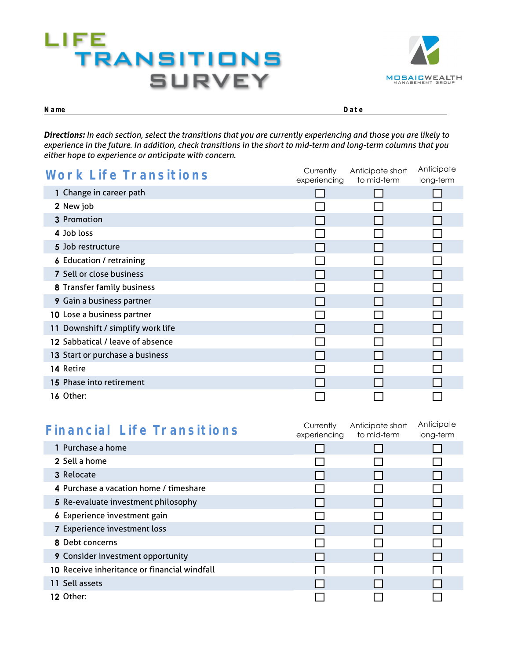



**Name Date** 

*Directions: In each section, select the transitions that you are currently experiencing and those you are likely to experience in the future. In addition, check transitions in the short to mid-term and long-term columns that you either hope to experience or anticipate with concern.*

| <b>Work Life Transitions</b>      | Currently<br>experiencing | Anticipate short<br>to mid-term | Anticipate<br>long-term |
|-----------------------------------|---------------------------|---------------------------------|-------------------------|
| 1 Change in career path           |                           |                                 |                         |
| 2 New job                         |                           |                                 |                         |
| 3 Promotion                       |                           |                                 |                         |
| 4 Job loss                        |                           |                                 |                         |
| 5 Job restructure                 |                           |                                 |                         |
| <b>6</b> Education / retraining   |                           |                                 |                         |
| 7 Sell or close business          |                           |                                 |                         |
| 8 Transfer family business        |                           |                                 |                         |
| 9 Gain a business partner         |                           |                                 |                         |
| 10 Lose a business partner        |                           |                                 |                         |
| 11 Downshift / simplify work life |                           |                                 |                         |
| 12 Sabbatical / leave of absence  |                           |                                 |                         |
| 13 Start or purchase a business   |                           |                                 |                         |
| 14 Retire                         |                           |                                 |                         |
| 15 Phase into retirement          |                           |                                 |                         |
| 16 Other:                         |                           |                                 |                         |

| <b>Financial Life Transitions</b>            | Currently<br>experiencing | Anticipate short<br>to mid-term | Anticipate<br>long-term |
|----------------------------------------------|---------------------------|---------------------------------|-------------------------|
| 1 Purchase a home                            |                           |                                 |                         |
| 2 Sell a home                                |                           |                                 |                         |
| <b>3</b> Relocate                            |                           |                                 |                         |
| 4 Purchase a vacation home / timeshare       |                           |                                 |                         |
| 5 Re-evaluate investment philosophy          |                           |                                 |                         |
| 6 Experience investment gain                 |                           |                                 |                         |
| 7 Experience investment loss                 |                           |                                 |                         |
| 8 Debt concerns                              |                           |                                 |                         |
| <b>9</b> Consider investment opportunity     |                           |                                 |                         |
| 10 Receive inheritance or financial windfall |                           |                                 |                         |
| 11 Sell assets                               |                           |                                 |                         |
| 12 Other:                                    |                           |                                 |                         |
|                                              |                           |                                 |                         |